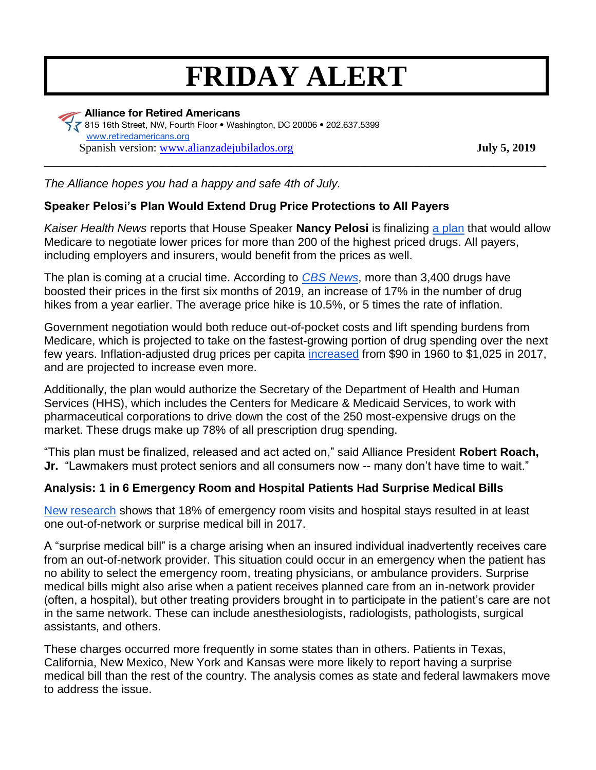# **FRIDAY ALERT**

 **Alliance for Retired Americans** 815 16th Street, NW, Fourth Floor • Washington, DC 20006 • 202.637.5399 [www.retiredamericans.org](http://www.retiredamericans.org/) Spanish version: [www.alianzadejubilados.org](http://www.alianzadejubilados.org/) **July 5, 2019** \_\_\_\_\_\_\_\_\_\_\_\_\_\_\_\_\_\_\_\_\_\_\_\_\_\_\_\_\_\_\_\_\_\_\_\_\_\_\_\_\_\_\_\_\_\_\_\_\_\_\_\_\_\_\_\_\_\_\_\_\_\_\_\_\_\_\_\_\_\_\_\_\_\_\_\_\_\_\_\_\_\_\_\_\_\_

*The Alliance hopes you had a happy and safe 4th of July.* 

## **Speaker Pelosi's Plan Would Extend Drug Price Protections to All Payers**

*Kaiser Health News* reports that House Speaker **Nancy Pelosi** is finalizing [a plan](https://khn.org/news/pelosi-aims-for-feds-to-negotiate-drug-prices-even-for-private-insurers/) that would allow Medicare to negotiate lower prices for more than 200 of the highest priced drugs. All payers, including employers and insurers, would benefit from the prices as well.

The plan is coming at a crucial time. According to *[CBS News](https://www.cbsnews.com/news/drug-prices-in-2019-are-surging-with-hikes-at-5-times-inflation/)*, more than 3,400 drugs have boosted their prices in the first six months of 2019, an increase of 17% in the number of drug hikes from a year earlier. The average price hike is 10.5%, or 5 times the rate of inflation.

Government negotiation would both reduce out-of-pocket costs and lift spending burdens from Medicare, which is projected to take on the fastest-growing portion of drug spending over the next few years. Inflation-adjusted drug prices per capita [increased](https://www.healthsystemtracker.org/chart-collection/recent-forecasted-trends-prescription-drug-spending/#item-nominal-and-inflation-adjusted-increase-in-rx-spending_2017) from \$90 in 1960 to \$1,025 in 2017, and are projected to increase even more.

Additionally, the plan would authorize the Secretary of the Department of Health and Human Services (HHS), which includes the Centers for Medicare & Medicaid Services, to work with pharmaceutical corporations to drive down the cost of the 250 most-expensive drugs on the market. These drugs make up 78% of all prescription drug spending.

"This plan must be finalized, released and act acted on," said Alliance President **Robert Roach, Jr.** "Lawmakers must protect seniors and all consumers now -- many don't have time to wait."

### **Analysis: 1 in 6 Emergency Room and Hospital Patients Had Surprise Medical Bills**

[New research](https://www.healthsystemtracker.org/brief/an-examination-of-surprise-medical-bills-and-proposals-to-protect-consumers-from-them/?utm_campaign=KFF-2019-Health-Costs&utm_source=hs_email&utm_medium=email&utm_content=73879602&_hsenc=p2ANqtz-8xdozLcOt2BkgeR0mUYpY5tGsFyUnxe5_PW2W_FQjTqeVjJTs_JYgNIk3xGMA2uxpAgfC7Oe0FOST4-W4OMBsWOAdW2fShoFDGAvGGkycUWTJmi7U&_hsmi=73879602) shows that 18% of emergency room visits and hospital stays resulted in at least one out-of-network or surprise medical bill in 2017.

A "surprise medical bill" is a charge arising when an insured individual inadvertently receives care from an out-of-network provider. This situation could occur in an emergency when the patient has no ability to select the emergency room, treating physicians, or ambulance providers. Surprise medical bills might also arise when a patient receives planned care from an in-network provider (often, a hospital), but other treating providers brought in to participate in the patient's care are not in the same network. These can include anesthesiologists, radiologists, pathologists, surgical assistants, and others.

These charges occurred more frequently in some states than in others. Patients in Texas, California, New Mexico, New York and Kansas were more likely to report having a surprise medical bill than the rest of the country. The analysis comes as state and federal lawmakers move to address the issue.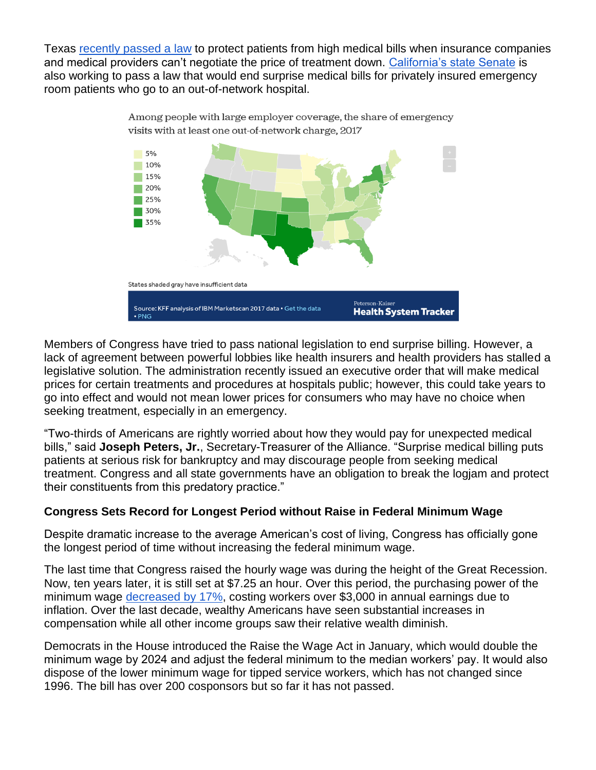Texas [recently passed a law](https://www.npr.org/sections/health-shots/2019/06/18/733369370/texas-is-latest-state-to-attack-surprise-medical-bills) to protect patients from high medical bills when insurance companies and medical providers can't negotiate the price of treatment down. [California's state Senate](https://khn.org/news/lawmakers-push-to-stop-surprise-er-billing/) is also working to pass a law that would end surprise medical bills for privately insured emergency room patients who go to an out-of-network hospital.



Members of Congress have tried to pass national legislation to end surprise billing. However, a lack of agreement between powerful lobbies like health insurers and health providers has stalled a legislative solution. The administration recently issued an executive order that will make medical prices for certain treatments and procedures at hospitals public; however, this could take years to go into effect and would not mean lower prices for consumers who may have no choice when seeking treatment, especially in an emergency.

"Two-thirds of Americans are rightly worried about how they would pay for unexpected medical bills," said **Joseph Peters, Jr.**, Secretary-Treasurer of the Alliance. "Surprise medical billing puts patients at serious risk for bankruptcy and may discourage people from seeking medical treatment. Congress and all state governments have an obligation to break the logjam and protect their constituents from this predatory practice."

### **Congress Sets Record for Longest Period without Raise in Federal Minimum Wage**

Despite dramatic increase to the average American's cost of living, Congress has officially gone the longest period of time without increasing the federal minimum wage.

The last time that Congress raised the hourly wage was during the height of the Great Recession. Now, ten years later, it is still set at \$7.25 an hour. Over this period, the purchasing power of the minimum wage [decreased by 17%,](https://www.epi.org/publication/congress-has-never-let-the-federal-minimum-wage-erode-for-this-long/) costing workers over \$3,000 in annual earnings due to inflation. Over the last decade, wealthy Americans have seen substantial increases in compensation while all other income groups saw their relative wealth diminish.

Democrats in the House introduced the Raise the Wage Act in January, which would double the minimum wage by 2024 and adjust the federal minimum to the median workers' pay. It would also dispose of the lower minimum wage for tipped service workers, which has not changed since 1996. The bill has over 200 cosponsors but so far it has not passed.